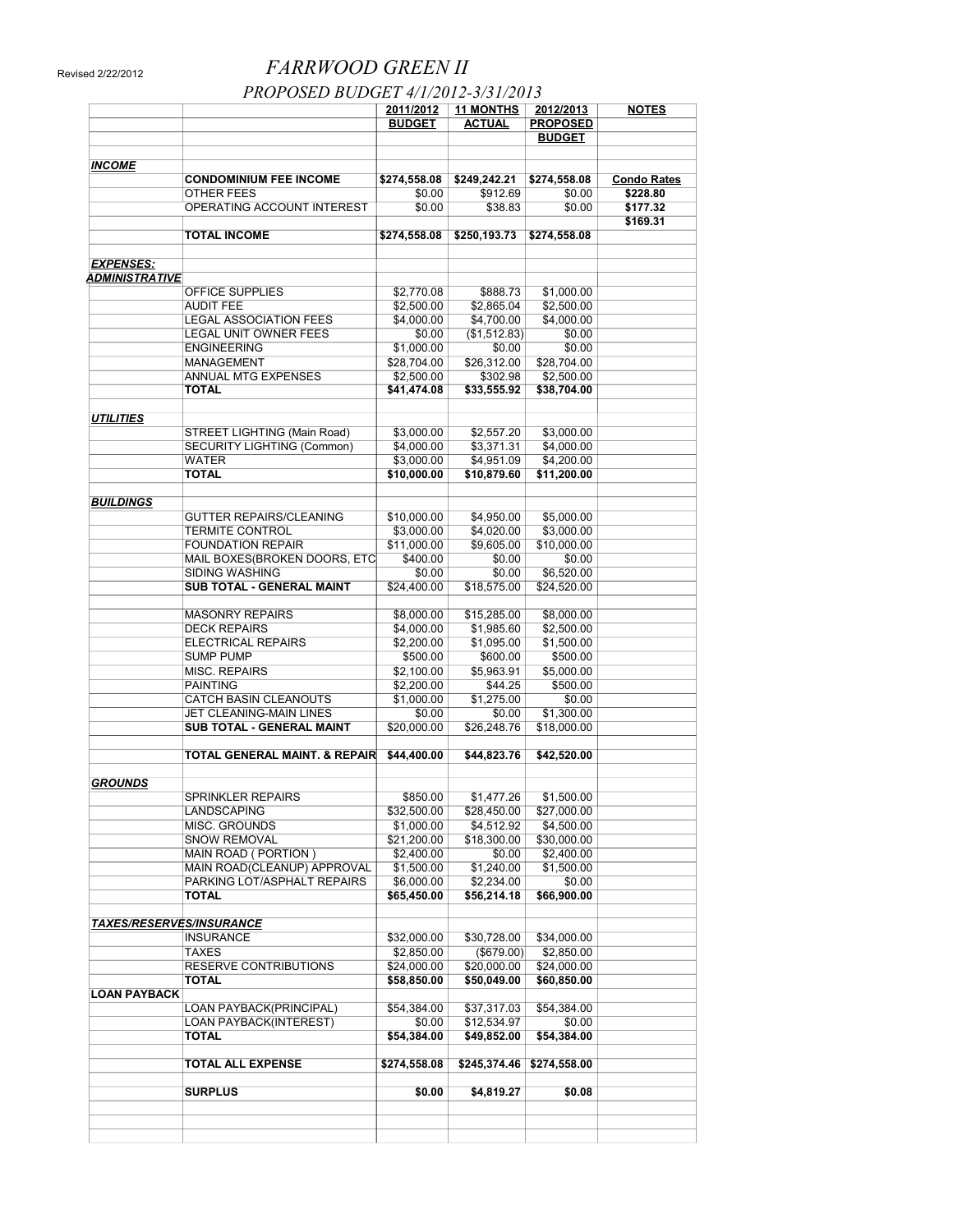## Revised 2/22/2012 *FARRWOOD GREEN II*

 *PROPOSED BUDGET 4/1/2012-3/31/2013* 

|                                 |                                     | 2011/2012     | <b>11 MONTHS</b> | 2012/2013              | <b>NOTES</b>                   |
|---------------------------------|-------------------------------------|---------------|------------------|------------------------|--------------------------------|
|                                 |                                     | <b>BUDGET</b> | <b>ACTUAL</b>    | <b>PROPOSED</b>        |                                |
|                                 |                                     |               |                  | <b>BUDGET</b>          |                                |
|                                 |                                     |               |                  |                        |                                |
| <b>INCOME</b>                   | <b>CONDOMINIUM FEE INCOME</b>       | \$274,558.08  | \$249,242.21     |                        |                                |
|                                 | OTHER FEES                          | \$0.00        | \$912.69         | \$274,558.08<br>\$0.00 | <b>Condo Rates</b><br>\$228.80 |
|                                 | OPERATING ACCOUNT INTEREST          | \$0.00        | \$38.83          | \$0.00                 | \$177.32                       |
|                                 |                                     |               |                  |                        | \$169.31                       |
|                                 | <b>TOTAL INCOME</b>                 | \$274,558.08  | \$250,193.73     | \$274,558.08           |                                |
|                                 |                                     |               |                  |                        |                                |
| <b>EXPENSES:</b>                |                                     |               |                  |                        |                                |
| <b>ADMINISTRATIVE</b>           |                                     |               |                  |                        |                                |
|                                 | OFFICE SUPPLIES                     | \$2,770.08    | \$888.73         | \$1,000.00             |                                |
|                                 | <b>AUDIT FEE</b>                    | \$2,500.00    | \$2,865.04       | \$2,500.00             |                                |
|                                 | <b>LEGAL ASSOCIATION FEES</b>       | \$4,000.00    | \$4,700.00       | \$4,000.00             |                                |
|                                 | <b>LEGAL UNIT OWNER FEES</b>        | \$0.00        | (\$1,512.83)     | \$0.00                 |                                |
|                                 | <b>ENGINEERING</b>                  | \$1,000.00    | \$0.00           | \$0.00                 |                                |
|                                 | <b>MANAGEMENT</b>                   | \$28,704.00   | \$26,312.00      | \$28,704.00            |                                |
|                                 | ANNUAL MTG EXPENSES<br><b>TOTAL</b> | \$2,500.00    | \$302.98         | \$2,500.00             |                                |
|                                 |                                     | \$41,474.08   | \$33,555.92      | \$38,704.00            |                                |
| <b>UTILITIES</b>                |                                     |               |                  |                        |                                |
|                                 | <b>STREET LIGHTING (Main Road)</b>  | \$3,000.00    | \$2,557.20       | \$3,000.00             |                                |
|                                 | <b>SECURITY LIGHTING (Common)</b>   | \$4,000.00    | \$3,371.31       | \$4,000.00             |                                |
|                                 | WATER                               | \$3,000.00    | \$4,951.09       | \$4,200.00             |                                |
|                                 | <b>TOTAL</b>                        | \$10,000.00   | \$10,879.60      | \$11,200.00            |                                |
|                                 |                                     |               |                  |                        |                                |
| <b>BUILDINGS</b>                |                                     |               |                  |                        |                                |
|                                 | <b>GUTTER REPAIRS/CLEANING</b>      | \$10,000.00   | \$4,950.00       | \$5,000.00             |                                |
|                                 | <b>TERMITE CONTROL</b>              | \$3,000.00    | \$4,020.00       | \$3,000.00             |                                |
|                                 | <b>FOUNDATION REPAIR</b>            | \$11,000.00   | \$9,605.00       | \$10,000.00            |                                |
|                                 | MAIL BOXES(BROKEN DOORS, ETC        | \$400.00      | \$0.00           | \$0.00                 |                                |
|                                 | <b>SIDING WASHING</b>               | \$0.00        | \$0.00           | \$6,520.00             |                                |
|                                 | SUB TOTAL - GENERAL MAINT           | \$24,400.00   | \$18,575.00      | \$24,520.00            |                                |
|                                 |                                     |               |                  |                        |                                |
|                                 | <b>MASONRY REPAIRS</b>              | \$8,000.00    | \$15,285.00      | \$8,000.00             |                                |
|                                 | <b>DECK REPAIRS</b>                 | \$4,000.00    | \$1,985.60       | \$2,500.00             |                                |
|                                 | <b>ELECTRICAL REPAIRS</b>           | \$2,200.00    | \$1,095.00       | \$1,500.00             |                                |
|                                 | <b>SUMP PUMP</b>                    | \$500.00      | \$600.00         | \$500.00               |                                |
|                                 | <b>MISC. REPAIRS</b>                | \$2,100.00    | \$5,963.91       | \$5,000.00             |                                |
|                                 | <b>PAINTING</b>                     | \$2,200.00    | \$44.25          | \$500.00               |                                |
|                                 | <b>CATCH BASIN CLEANOUTS</b>        | \$1,000.00    | \$1,275.00       | \$0.00                 |                                |
|                                 | JET CLEANING-MAIN LINES             | \$0.00        | \$0.00           | \$1,300.00             |                                |
|                                 | SUB TOTAL - GENERAL MAINT           | \$20,000.00   | \$26,248.76      | \$18,000.00            |                                |
|                                 | TOTAL GENERAL MAINT. & REPAIR       | \$44,400.00   | \$44,823.76      | \$42,520.00            |                                |
|                                 |                                     |               |                  |                        |                                |
| <b>GROUNDS</b>                  |                                     |               |                  |                        |                                |
|                                 | SPRINKLER REPAIRS                   | \$850.00      | \$1,477.26       | \$1,500.00             |                                |
|                                 | LANDSCAPING                         | \$32,500.00   | \$28,450.00      | \$27,000.00            |                                |
|                                 | <b>MISC. GROUNDS</b>                | \$1,000.00    | \$4,512.92       | \$4,500.00             |                                |
|                                 | SNOW REMOVAL                        | \$21,200.00   | \$18,300.00      | \$30,000.00            |                                |
|                                 | MAIN ROAD (PORTION)                 | \$2,400.00    | \$0.00           | \$2,400.00             |                                |
|                                 | MAIN ROAD(CLEANUP) APPROVAL         | \$1,500.00    | \$1,240.00       | \$1,500.00             |                                |
|                                 | PARKING LOT/ASPHALT REPAIRS         | \$6,000.00    | \$2,234.00       | \$0.00                 |                                |
|                                 | TOTAL                               | \$65,450.00   | \$56,214.18      | \$66,900.00            |                                |
|                                 |                                     |               |                  |                        |                                |
| <u>TAXES/RESERVES/INSURANCE</u> |                                     |               |                  |                        |                                |
|                                 | INSURANCE                           | \$32,000.00   | \$30,728.00      | \$34,000.00            |                                |
|                                 | TAXES                               | \$2,850.00    | (\$679.00)       | \$2,850.00             |                                |
|                                 | RESERVE CONTRIBUTIONS               | \$24,000.00   | \$20,000.00      | \$24,000.00            |                                |
|                                 | TOTAL                               | \$58,850.00   | \$50,049.00      | \$60,850.00            |                                |
| <b>LOAN PAYBACK</b>             |                                     |               |                  |                        |                                |
|                                 | LOAN PAYBACK(PRINCIPAL)             | \$54,384.00   | \$37,317.03      | \$54,384.00            |                                |
|                                 | <b>LOAN PAYBACK(INTEREST)</b>       | \$0.00        | \$12,534.97      | \$0.00                 |                                |
|                                 | TOTAL                               | \$54,384.00   | \$49,852.00      | \$54,384.00            |                                |
|                                 |                                     |               |                  |                        |                                |
|                                 | TOTAL ALL EXPENSE                   | \$274,558.08  | \$245,374.46     | \$274,558.00           |                                |
|                                 |                                     |               |                  |                        |                                |
|                                 | <b>SURPLUS</b>                      | \$0.00        | \$4,819.27       | \$0.08                 |                                |
|                                 |                                     |               |                  |                        |                                |
|                                 |                                     |               |                  |                        |                                |
|                                 |                                     |               |                  |                        |                                |